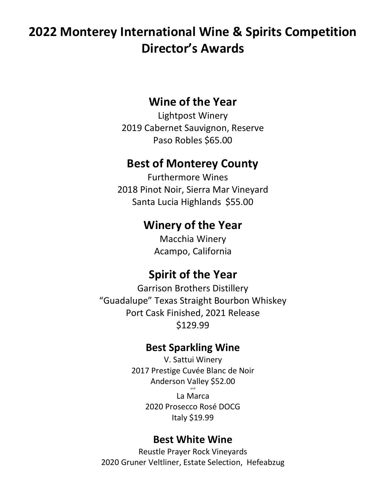# **2022 Monterey International Wine & Spirits Competition Director's Awards**

## **Wine of the Year**

Lightpost Winery 2019 Cabernet Sauvignon, Reserve Paso Robles \$65.00

## **Best of Monterey County**

Furthermore Wines 2018 Pinot Noir, Sierra Mar Vineyard Santa Lucia Highlands \$55.00

## **Winery of the Year**

Macchia Winery Acampo, California

## **Spirit of the Year**

Garrison Brothers Distillery "Guadalupe" Texas Straight Bourbon Whiskey Port Cask Finished, 2021 Release \$129.99

## **Best Sparkling Wine**

V. Sattui Winery 2017 Prestige Cuvée Blanc de Noir Anderson Valley \$52.00 and La Marca 2020 Prosecco Rosé DOCG Italy \$19.99

## **Best White Wine**

Reustle Prayer Rock Vineyards 2020 Gruner Veltliner, Estate Selection, Hefeabzug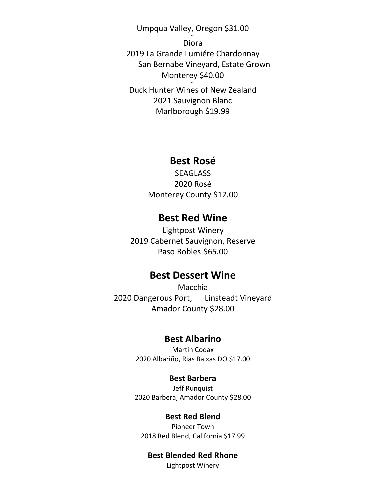Umpqua Valley, Oregon \$31.00 and Diora 2019 La Grande Lumiére Chardonnay San Bernabe Vineyard, Estate Grown Monterey \$40.00 and Duck Hunter Wines of New Zealand 2021 Sauvignon Blanc Marlborough \$19.99

### **Best Rosé**

**SEAGLASS** 2020 Rosé Monterey County \$12.00

## **Best Red Wine**

Lightpost Winery 2019 Cabernet Sauvignon, Reserve Paso Robles \$65.00

### **Best Dessert Wine**

Macchia 2020 Dangerous Port, Linsteadt Vineyard Amador County \$28.00

#### **Best Albarino**

Martin Codax 2020 Albariño, Rias Baixas DO \$17.00

#### **Best Barbera**

Jeff Runquist 2020 Barbera, Amador County \$28.00

#### **Best Red Blend**

Pioneer Town 2018 Red Blend, California \$17.99

### **Best Blended Red Rhone**

Lightpost Winery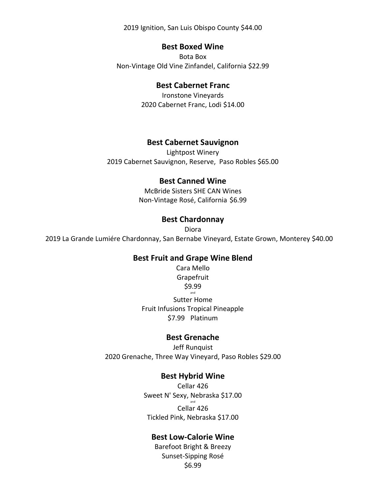2019 Ignition, San Luis Obispo County \$44.00

#### **Best Boxed Wine**

Bota Box Non-Vintage Old Vine Zinfandel, California \$22.99

#### **Best Cabernet Franc**

Ironstone Vineyards 2020 Cabernet Franc, Lodi \$14.00

#### **Best Cabernet Sauvignon**

Lightpost Winery 2019 Cabernet Sauvignon, Reserve, Paso Robles \$65.00

#### **Best Canned Wine**

McBride Sisters SHE CAN Wines Non-Vintage Rosé, California \$6.99

#### **Best Chardonnay**

Diora 2019 La Grande Lumiére Chardonnay, San Bernabe Vineyard, Estate Grown, Monterey \$40.00

#### **Best Fruit and Grape Wine Blend**

Cara Mello Grapefruit \$9.99 and Sutter Home Fruit Infusions Tropical Pineapple \$7.99 Platinum

#### **Best Grenache**

Jeff Runquist 2020 Grenache, Three Way Vineyard, Paso Robles \$29.00

#### **Best Hybrid Wine**

Cellar 426 Sweet N' Sexy, Nebraska \$17.00 and Cellar 426 Tickled Pink, Nebraska \$17.00

#### **Best Low-Calorie Wine**

Barefoot Bright & Breezy Sunset-Sipping Rosé \$6.99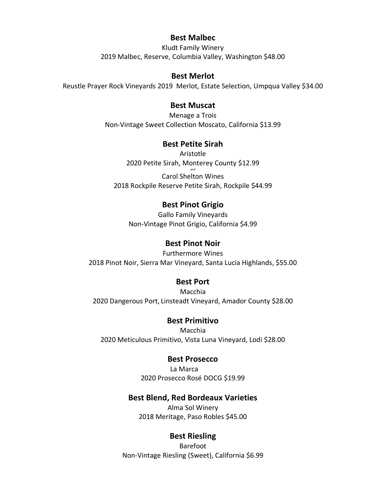#### **Best Malbec**

Kludt Family Winery 2019 Malbec, Reserve, Columbia Valley, Washington \$48.00

#### **Best Merlot**

Reustle Prayer Rock Vineyards 2019 Merlot, Estate Selection, Umpqua Valley \$34.00

#### **Best Muscat**

Menage a Trois Non-Vintage Sweet Collection Moscato, California \$13.99

#### **Best Petite Sirah**

Aristotle 2020 Petite Sirah, Monterey County \$12.99 and Carol Shelton Wines 2018 Rockpile Reserve Petite Sirah, Rockpile \$44.99

#### **Best Pinot Grigio**

Gallo Family Vineyards Non-Vintage Pinot Grigio, California \$4.99

#### **Best Pinot Noir**

Furthermore Wines 2018 Pinot Noir, Sierra Mar Vineyard, Santa Lucia Highlands, \$55.00

#### **Best Port**

Macchia 2020 Dangerous Port, Linsteadt Vineyard, Amador County \$28.00

#### **Best Primitivo**

Macchia 2020 Meticulous Primitivo, Vista Luna Vineyard, Lodi \$28.00

#### **Best Prosecco**

La Marca 2020 Prosecco Rosé DOCG \$19.99

#### **Best Blend, Red Bordeaux Varieties**

Alma Sol Winery 2018 Meritage, Paso Robles \$45.00

#### **Best Riesling**

Barefoot Non-Vintage Riesling (Sweet), California \$6.99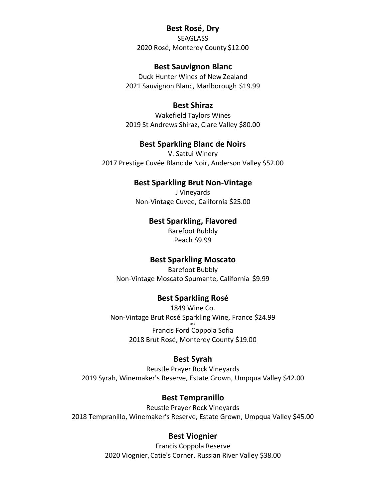#### **Best Rosé, Dry**

SEAGLASS 2020 Rosé, Monterey County \$12.00

#### **Best Sauvignon Blanc**

Duck Hunter Wines of New Zealand 2021 Sauvignon Blanc, Marlborough \$19.99

#### **Best Shiraz**

Wakefield Taylors Wines 2019 St Andrews Shiraz, Clare Valley \$80.00

#### **Best Sparkling Blanc de Noirs**

V. Sattui Winery 2017 Prestige Cuvée Blanc de Noir, Anderson Valley \$52.00

#### **Best Sparkling Brut Non-Vintage**

J Vineyards Non-Vintage Cuvee, California \$25.00

#### **Best Sparkling, Flavored**

Barefoot Bubbly Peach \$9.99

#### **Best Sparkling Moscato**

Barefoot Bubbly Non-Vintage Moscato Spumante, California \$9.99

#### **Best Sparkling Rosé**

1849 Wine Co. Non-Vintage Brut Rosé Sparkling Wine, France \$24.99 and Francis Ford Coppola Sofia 2018 Brut Rosé, Monterey County \$19.00

#### **Best Syrah**

Reustle Prayer Rock Vineyards 2019 Syrah, Winemaker's Reserve, Estate Grown, Umpqua Valley \$42.00

#### **Best Tempranillo**

Reustle Prayer Rock Vineyards 2018 Tempranillo, Winemaker's Reserve, Estate Grown, Umpqua Valley \$45.00

#### **Best Viognier**

Francis Coppola Reserve 2020 Viognier,Catie's Corner, Russian River Valley \$38.00